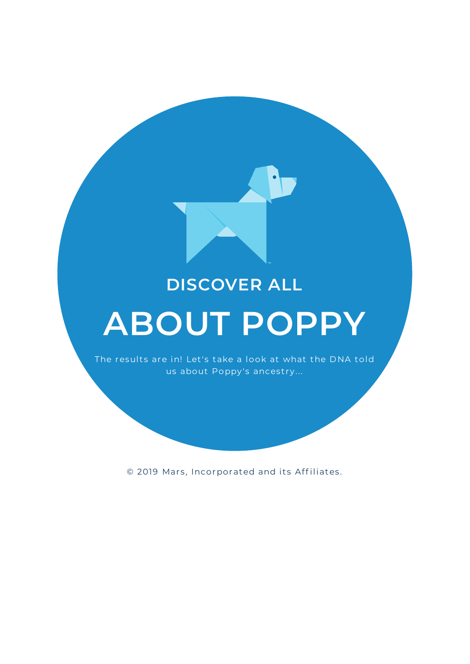## **DISCOVER ALL**

## **ABOUT POPPY**

The results are in! Let's take a look at what the DNA told us about Poppy's ancestry...

© 2019 Mars, Incorporated and its Affiliates.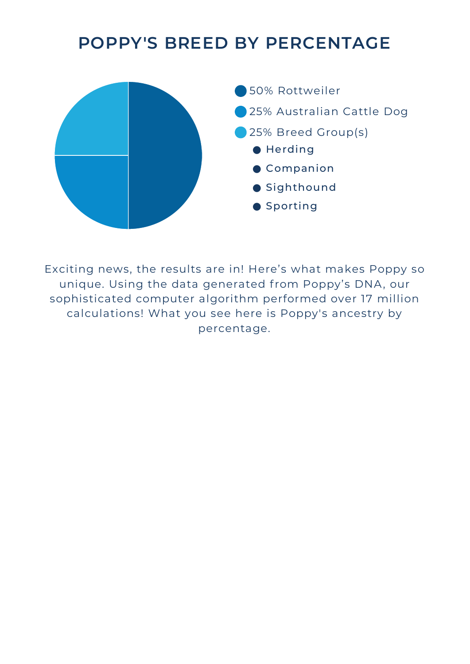## **POPPY'S BREED BY PERCENTAGE**



Exciting news, the results are in! Here's what makes Poppy so unique. Using the data generated from Poppy's DNA, our sophisticated computer algorithm performed over 17 million calculations! What you see here is Poppy's ancestry by percentage.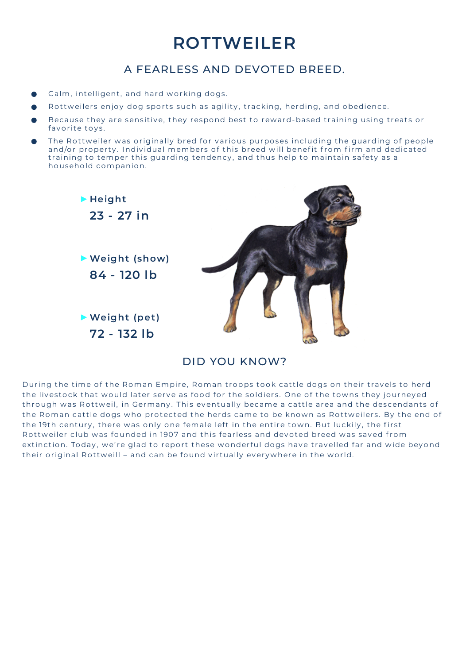## **ROTTWEILER**

#### A FEARLESS AND DEVOTED BREED.

- Calm, intelligent, and hard working dogs.
- Rottweilers enjoy dog sports such as agility, tracking, herding, and obedience.
- Because they are sensitive, they respond best to reward-based training using treats or favorite toys.
- The Rottweiler was originally bred for various purposes including the guarding of people and/or property. Individual members of this breed will benefit from firm and dedicated t raining to temper this guarding tendency , and thus help to maintain safety as a household companion.



#### DID YOU KNOW?

During the time of the Roman Empire, Roman troops took cattle dogs on their travels to herd the livestock that would later serve as food for the soldiers. One of the towns they journeyed through was Rottweil, in Germany. This eventually became a cattle area and the descendants of the Roman cattle dogs who protected the herds came to be known as Rottweilers. By the end of the 19th century, there was only one female left in the entire town. But luckily, the first Rottweiler club was founded in 1907 and this fearless and devoted breed was saved from extinction. Today, we're glad to report these wonderful dogs have travelled far and wide beyond their original Rottweill – and can be found virtually everywhere in the world.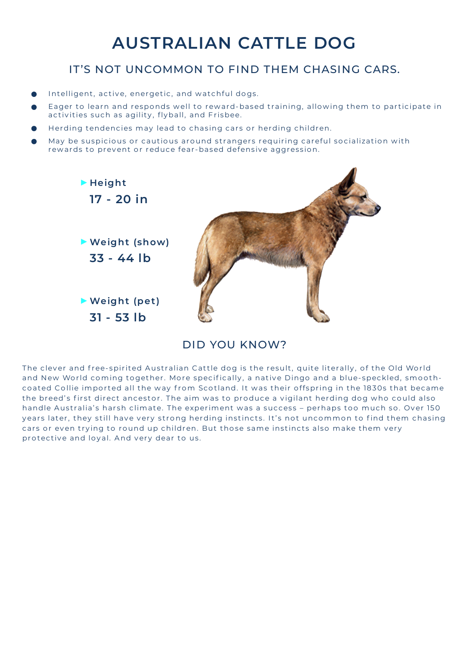## **AUSTRALIAN CATTLE DOG**

#### IT'S NOT UNCOMMON TO FIND THEM CHASING CARS.

- Intelligent, active, energetic, and watchful dogs.
- Eager to learn and responds well to reward-based training, allowing them to participate in activities such as agility, flyball, and Frisbee.
- Herding tendencies may lead to chasing cars or herding children.
- May be suspicious or cautious around strangers requiring careful socialization with rewards to prevent or reduce fear-based defensive aggression.



#### DID YOU KNOW?

The clever and free-spirited Australian Cattle dog is the result, quite literally, of the Old World and New World coming together. More specifically, a native Dingo and a blue-speckled, smoothcoated Collie imported all the way from Scotland. It was their offspring in the 1830s that became the breed's first direct ancestor. The aim was to produce a vigilant herding dog who could also handle Australia's harsh climate. The experiment was a success - perhaps too much so. Over 150 years later, they still have very strong herding instincts. It's not uncommon to find them chasing cars or even trying to round up children. But those same instincts also make them very protective and loyal. And very dear to us.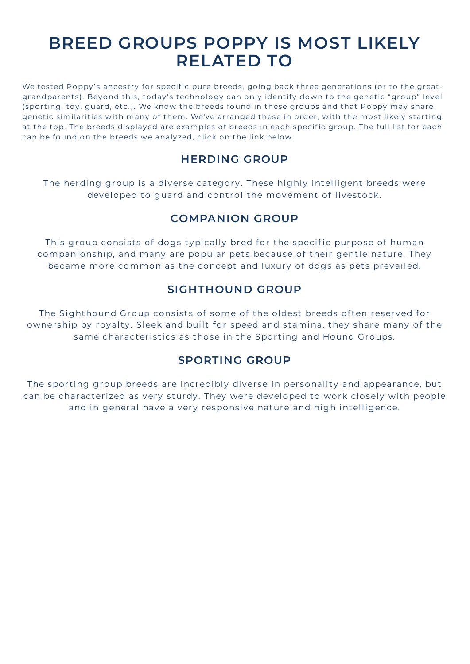### **BREED GROUPS POPPY IS MOST LIKELY RELATED TO**

We tested Poppy's ancestry for specific pure breeds, going back three generations (or to the greatgrandparents). Beyond this, today's technology can only identify down to the genetic "group" level (sporting, toy, guard, etc.). We know the breeds found in these groups and that Poppy may share genetic similarities with many of them. We've arranged these in order, with the most likely starting at the top. The breeds displayed are examples of breeds in each specific group. The full list for each can be found on the breeds we analy zed, click on the link below.

#### **HERDING GROUP**

The herding group is a diverse category. These highly intelligent breeds were developed to guard and control the movement of livestock.

#### **COMPANION GROUP**

This group consists of dogs typically bred for the specific purpose of human companionship, and many are popular pets because of their gentle nature. They became more common as the concept and luxury of dogs as pets prevailed.

#### **SIGHTHOUND GROUP**

The Sighthound Group consists of some of the oldest breeds often reserved for ownership by royalty. Sleek and built for speed and stamina, they share many of the same characteristics as those in the Sporting and Hound Groups.

#### **SPORTING GROUP**

The sporting group breeds are incredibly diverse in personality and appearance, but can be characterized as very sturdy. They were developed to work closely with people and in general have a very responsive nature and high intelligence.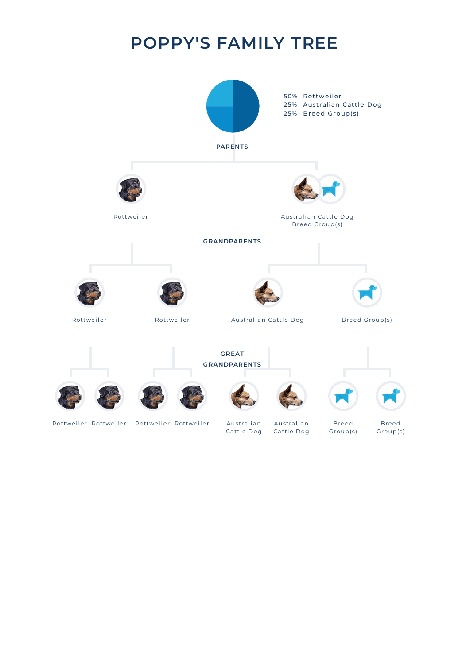## **POPPY'S FAMILY TREE**

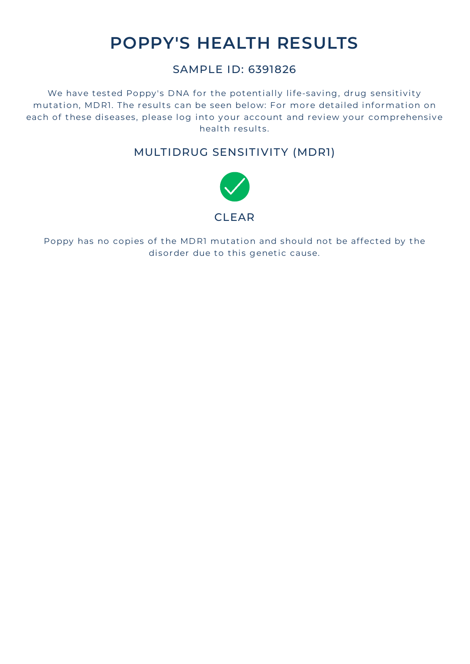## **POPPY'S HEALTH RESULTS**

#### SAMPLE ID: 6391826

We have tested Poppy's DNA for the potentially life-saving, drug sensitivity mutation, MDR1. The results can be seen below: For more detailed information on each of these diseases, please log into your account and review your comprehensive health results.

#### MULTIDRUG SENSITIVITY (MDR1)



Poppy has no copies of the MDR1 mutation and should not be affected by the disorder due to this genetic cause.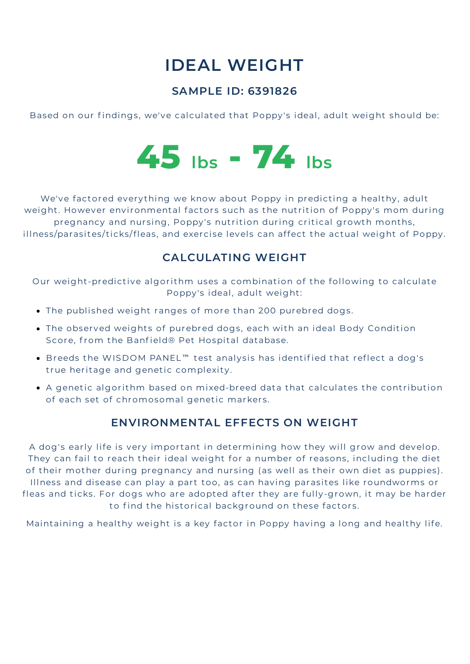## **IDEAL WEIGHT**

#### **SAMPLE ID: 6391826**

Based on our findings, we've calculated that Poppy's ideal, adult weight should be:



We've factored everything we know about Poppy in predicting a healthy, adult weight. However environmental factors such as the nutrition of Poppy's mom during pregnancy and nursing, Poppy's nutrition during critical growth months, illness/parasites/ticks/fleas, and exercise levels can affect the actual weight of Poppy.

#### **CALCULATING WEIGHT**

Our weight-predictive algorithm uses a combination of the following to calculate Poppy's ideal, adult weight:

- The published weight ranges of more than 200 purebred dogs.
- The observed weights of purebred dogs, each with an ideal Body Condition Score, from the Banfield® Pet Hospital database.
- Breeds the WISDOM PANEL™ test analysis has identified that reflect a dog's true heritage and genetic complexity.
- A genetic algorithm based on mixed-breed data that calculates the contribution of each set of chromosomal genetic markers.

#### **ENVIRONMENTAL EFFECTS ON WEIGHT**

A dog's early life is very important in determining how they will grow and develop. They can fail to reach their ideal weight for a number of reasons, including the diet of their mother during pregnancy and nursing (as well as their own diet as puppies). Illness and disease can play a part too, as can having parasites like roundworms or fleas and ticks. For dogs who are adopted after they are fully-grown, it may be harder to find the historical background on these factors.

Maintaining a healthy weight is a key factor in Poppy having a long and healthy life.